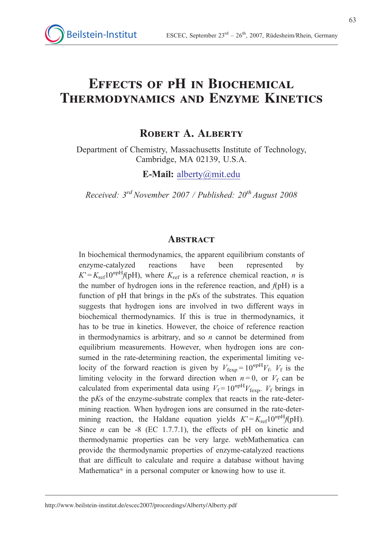# Effects of pH in Biochemical Thermodynamics and Enzyme Kinetics

## ROBERT A. ALBERTY

Department of Chemistry, Massachusetts Institute of Technology, Cambridge, MA 02139, U.S.A.

E-Mail: alberty@mit.edu

Received:  $3^{rd}$  November 2007 / Published:  $20^{th}$  August 2008

#### **ABSTRACT**

In biochemical thermodynamics, the apparent equilibrium constants of enzyme-catalyzed reactions have been represented by  $K = K_{\text{ref}} 10^{npH} f(pH)$ , where  $K_{\text{ref}}$  is a reference chemical reaction, *n* is the number of hydrogen ions in the reference reaction, and  $f(pH)$  is a function of  $pH$  that brings in the  $pKs$  of the substrates. This equation suggests that hydrogen ions are involved in two different ways in biochemical thermodynamics. If this is true in thermodynamics, it has to be true in kinetics. However, the choice of reference reaction in thermodynamics is arbitrary, and so  $n$  cannot be determined from equilibrium measurements. However, when hydrogen ions are consumed in the rate-determining reaction, the experimental limiting velocity of the forward reaction is given by  $V_{\text{fexp}} = 10^{n p H} V_{\text{f}}$ .  $V_{\text{f}}$  is the limiting velocity in the forward direction when  $n = 0$ , or  $V_f$  can be calculated from experimental data using  $V_f = 10^{npH} V_{f_{\text{exp}}}$ .  $V_f$  brings in the pKs of the enzyme-substrate complex that reacts in the rate-determining reaction. When hydrogen ions are consumed in the rate-determining reaction, the Haldane equation yields  $K = K_{\text{ref}} 10^{n \text{pH}} f(\text{pH}).$ Since *n* can be -8 (EC 1.7.7.1), the effects of pH on kinetic and thermodynamic properties can be very large. webMathematica can provide the thermodynamic properties of enzyme-catalyzed reactions that are difficult to calculate and require a database without having Mathematica<sup>®</sup> in a personal computer or knowing how to use it.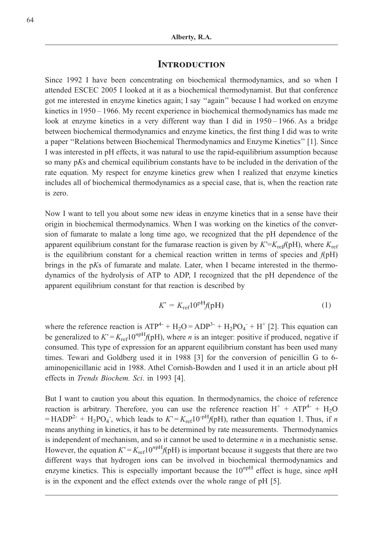#### **INTRODUCTION**

Since 1992 I have been concentrating on biochemical thermodynamics, and so when I attended ESCEC 2005 I looked at it as a biochemical thermodynamist. But that conference got me interested in enzyme kinetics again; I say ''again'' because I had worked on enzyme kinetics in 1950 – 1966. My recent experience in biochemical thermodynamics has made me look at enzyme kinetics in a very different way than I did in 1950 – 1966. As a bridge between biochemical thermodynamics and enzyme kinetics, the first thing I did was to write a paper ''Relations between Biochemical Thermodynamics and Enzyme Kinetics'' [1]. Since I was interested in pH effects, it was natural to use the rapid-equilibrium assumption because so many pKs and chemical equilibrium constants have to be included in the derivation of the rate equation. My respect for enzyme kinetics grew when I realized that enzyme kinetics includes all of biochemical thermodynamics as a special case, that is, when the reaction rate is zero.

Now I want to tell you about some new ideas in enzyme kinetics that in a sense have their origin in biochemical thermodynamics. When I was working on the kinetics of the conversion of fumarate to malate a long time ago, we recognized that the pH dependence of the apparent equilibrium constant for the fumarase reaction is given by  $K^2 = K_{\text{ref}}(pH)$ , where  $K_{\text{ref}}$ is the equilibrium constant for a chemical reaction written in terms of species and  $f(pH)$ brings in the pKs of fumarate and malate. Later, when I became interested in the thermodynamics of the hydrolysis of ATP to ADP, I recognized that the pH dependence of the apparent equilibrium constant for that reaction is described by

$$
K^{\circ} = K_{\text{ref}} 10^{\text{pH}} f(\text{pH}) \tag{1}
$$

where the reference reaction is  $ATP^{4-} + H_2O = ADP^{3-} + H_2PO_4^- + H^+$  [2]. This equation can be generalized to  $K = K_{ref}10^{npH}f(pH)$ , where *n* is an integer: positive if produced, negative if consumed. This type of expression for an apparent equilibrium constant has been used many times. Tewari and Goldberg used it in 1988 [3] for the conversion of penicillin G to 6 aminopenicillanic acid in 1988. Athel Cornish-Bowden and I used it in an article about pH effects in Trends Biochem. Sci. in 1993 [4].

But I want to caution you about this equation. In thermodynamics, the choice of reference reaction is arbitrary. Therefore, you can use the reference reaction  $H^+ + ATP^{4-} + H_2O$ = HADP<sup>2-</sup> + H<sub>2</sub>PO<sub>4</sub><sup>-</sup>, which leads to  $K' = K_{ref}10^{-pH}f(pH)$ , rather than equation 1. Thus, if n means anything in kinetics, it has to be determined by rate measurements. Thermodynamics is independent of mechanism, and so it cannot be used to determine  $n$  in a mechanistic sense. However, the equation  $K = K_{ref}10^{npH}f(pH)$  is important because it suggests that there are two different ways that hydrogen ions can be involved in biochemical thermodynamics and enzyme kinetics. This is especially important because the  $10^{n}$ <sup>pH</sup> effect is huge, since npH is in the exponent and the effect extends over the whole range of pH [5].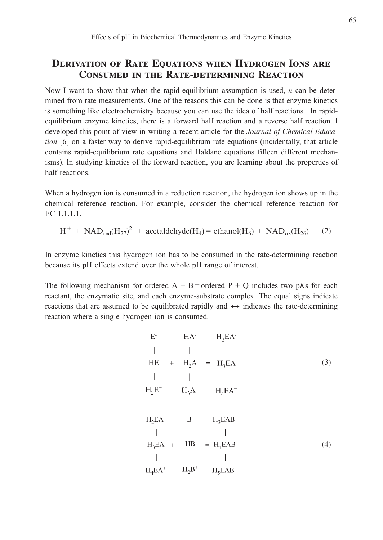## DERIVATION OF RATE EQUATIONS WHEN HYDROGEN IONS ARE Consumed in the Rate-determining Reaction

Now I want to show that when the rapid-equilibrium assumption is used,  $n$  can be determined from rate measurements. One of the reasons this can be done is that enzyme kinetics is something like electrochemistry because you can use the idea of half reactions. In rapidequilibrium enzyme kinetics, there is a forward half reaction and a reverse half reaction. I developed this point of view in writing a recent article for the Journal of Chemical Education [6] on a faster way to derive rapid-equilibrium rate equations (incidentally, that article contains rapid-equilibrium rate equations and Haldane equations fifteen different mechanisms). In studying kinetics of the forward reaction, you are learning about the properties of half reactions.

When a hydrogen ion is consumed in a reduction reaction, the hydrogen ion shows up in the chemical reference reaction. For example, consider the chemical reference reaction for EC 1.1.1.1.

$$
H^{+} + NAD_{red}(H_{27})^{2-} + acetaldehyde(H_{4}) = ethanol(H_{6}) + NAD_{ox}(H_{26})^{-}
$$
 (2)

In enzyme kinetics this hydrogen ion has to be consumed in the rate-determining reaction because its pH effects extend over the whole pH range of interest.

The following mechanism for ordered  $A + B$  = ordered  $P + Q$  includes two pKs for each reactant, the enzymatic site, and each enzyme-substrate complex. The equal signs indicate reactions that are assumed to be equilibrated rapidly and  $\leftrightarrow$  indicates the rate-determining reaction where a single hydrogen ion is consumed.

|           | HA <sup>-</sup>    | $H_2EA$        |
|-----------|--------------------|----------------|
|           |                    |                |
| $\ddot{}$ |                    | $H_2A = H_3EA$ |
|           |                    |                |
|           | $H_3A^+$           | $H_4EA^+$      |
|           |                    |                |
| $H_2EA$   | $\rm B^{\text{-}}$ | $H_3EAB$       |
|           | $\big\ $           |                |
|           | $H\!B$             | $= H_4EAB$     |
|           | $\parallel$        |                |
| $H_4EA^+$ | $\mathrm{H_2B}^+$  | $H_5EAB^+$     |
|           |                    | $H_3EA$ +      |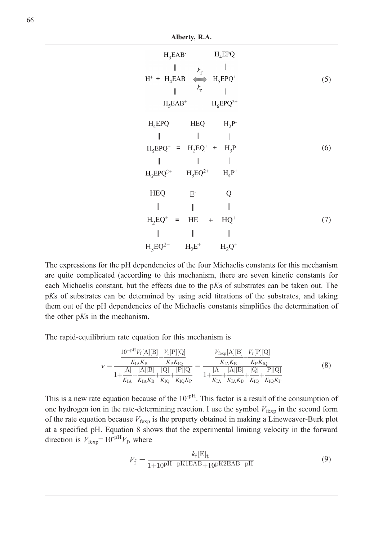Alberty, R.A.

| $H_3EAB^-$<br>$\parallel$<br>$k_f$<br>$H^+ + H_4EAB \iff H_5EPQ^+$<br>$k_{\rm r}$<br>$\big\}$<br>$H_5EAB^+$                                                   | $H_4EPQ$<br>II<br>$H_6EPQ^{2+}$             | (5) |
|---------------------------------------------------------------------------------------------------------------------------------------------------------------|---------------------------------------------|-----|
| $H_4EPQ$<br><b>HEQ</b><br>Ш<br>$H_5EPQ^+ = H_2EQ^+ + H_3P$<br>Ш<br>II<br>$H_3EQ^{2+}$<br>$\mathrm{H}_{6}\mathrm{E}\mathrm{P}\mathrm{Q}^{2+}$                  | $H_2P^-$<br>$H_4P^+$                        | (6) |
| <b>HEQ</b><br>$\mathbf{E}^{\text{-}}$<br>$\begin{array}{c} \hline \end{array}$<br>II<br>$H_2EQ^+$ = HE<br>$+$<br>I<br>$\mathbb I$<br>$H_2E^+$<br>$H_3EQ^{2+}$ | Q<br>$\parallel$<br>$HQ^+$<br>I<br>$H_2Q^+$ | (7) |

The expressions for the pH dependencies of the four Michaelis constants for this mechanism are quite complicated (according to this mechanism, there are seven kinetic constants for each Michaelis constant, but the effects due to the pKs of substrates can be taken out. The pKs of substrates can be determined by using acid titrations of the substrates, and taking them out of the pH dependencies of the Michaelis constants simplifies the determination of the other pKs in the mechanism.

The rapid-equilibrium rate equation for this mechanism is

$$
\nu = \frac{\frac{10^{-pH}V_{\rm f}[A][B]}{K_{\rm IA}K_{\rm B}} - \frac{V_{\rm r}[P][Q]}{K_{\rm PA}K_{\rm B}}}{1 + \frac{[A]}{K_{\rm IA} + \frac{[A][B]}{K_{\rm IA}K_{\rm B}} + \frac{[Q]}{K_{\rm IQ}} + \frac{[P][Q]}{K_{\rm IQ}K_{\rm P}}}} = \frac{\frac{V_{\rm fexp}[A][B]}{K_{\rm IA}K_{\rm B}} - \frac{V_{\rm r}[P][Q]}{K_{\rm PA}K_{\rm B}}}{1 + \frac{[A]}{K_{\rm IA} + \frac{[A][B]}{K_{\rm IA}K_{\rm B}} + \frac{[Q]}{K_{\rm IQ}} + \frac{[P][Q]}{K_{\rm IQ}K_{\rm P}}}}
$$
(8)

This is a new rate equation because of the  $10^{-p}$ . This factor is a result of the consumption of one hydrogen ion in the rate-determining reaction. I use the symbol  $V_{\text{fexp}}$  in the second form of the rate equation because  $V_{fexp}$  is the property obtained in making a Lineweaver-Burk plot at a specified pH. Equation 8 shows that the experimental limiting velocity in the forward direction is  $V_{\text{fexp}} = 10^{-pH}V_{\text{f}}$ , where

$$
V_{\rm f} = \frac{k_{\rm f}[\rm E]_{\rm t}}{1 + 10^{\rm pH - pK1EAB} + 10^{\rm pK2EAB - pH}}\tag{9}
$$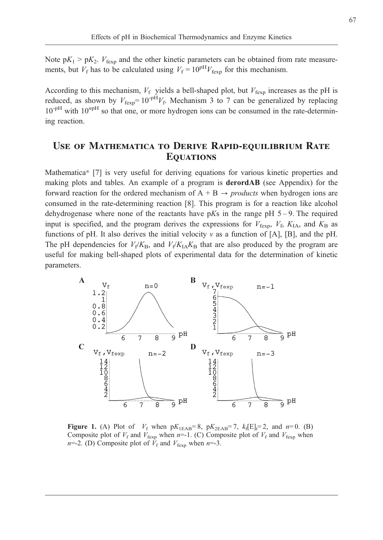Note  $pK_1 > pK_2$ .  $V_{fexp}$  and the other kinetic parameters can be obtained from rate measurements, but  $V_f$  has to be calculated using  $V_f = 10^{pH}V_{f_{\text{exp}}}$  for this mechanism.

According to this mechanism,  $V_f$  yields a bell-shaped plot, but  $V_{\text{fexp}}$  increases as the pH is reduced, as shown by  $V_{\text{fexp}} = 10^{-pH}V_f$ . Mechanism 3 to 7 can be generalized by replacing  $10^{-pH}$  with  $10^{npH}$  so that one, or more hydrogen ions can be consumed in the rate-determining reaction.

# Use of Mathematica to Derive Rapid-equilibrium Rate **EQUATIONS**

Mathematica<sup>®</sup> [7] is very useful for deriving equations for various kinetic properties and making plots and tables. An example of a program is derordAB (see Appendix) for the forward reaction for the ordered mechanism of  $A + B \rightarrow \text{products}$  when hydrogen ions are consumed in the rate-determining reaction [8]. This program is for a reaction like alcohol dehydrogenase where none of the reactants have  $pKs$  in the range  $pH 5-9$ . The required input is specified, and the program derives the expressions for  $V_{\text{fexp}}$ ,  $V_{\text{f}}$ ,  $K_{\text{IA}}$ , and  $K_{\text{B}}$  as functions of pH. It also derives the initial velocity  $v$  as a function of [A], [B], and the pH. The pH dependencies for  $V_f/K_B$ , and  $V_f/K_AK_B$  that are also produced by the program are useful for making bell-shaped plots of experimental data for the determination of kinetic parameters.



Figure 1. (A) Plot of  $V_f$  when  $pK_{1EAB}=8$ ,  $pK_{2EAB}=7$ ,  $k_f[E]_t=2$ , and  $n=0$ . (B) Composite plot of  $V_f$  and  $V_{fexp}$  when n=-1. (C) Composite plot of  $V_f$  and  $V_{fexp}$  when  $n=-2$ . (D) Composite plot of  $\bar{V}_f$  and  $V_{fexp}$  when  $n=-3$ .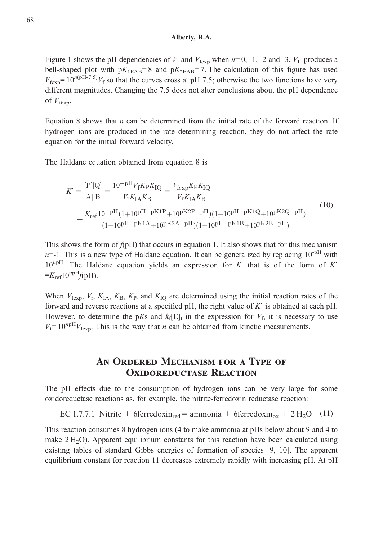Figure 1 shows the pH dependencies of  $V_f$  and  $V_{fexp}$  when  $n=0, -1, -2$  and -3.  $V_f$  produces a bell-shaped plot with  $pK_{1EAB} = 8$  and  $pK_{2EAB} = 7$ . The calculation of this figure has used  $V_{\text{fexn}} = 10^{n(pH-7.5)} V_f$  so that the curves cross at pH 7.5; otherwise the two functions have very different magnitudes. Changing the 7.5 does not alter conclusions about the pH dependence of  $V_{\text{fexp}}$ .

Equation 8 shows that *n* can be determined from the initial rate of the forward reaction. If hydrogen ions are produced in the rate determining reaction, they do not affect the rate equation for the initial forward velocity.

The Haldane equation obtained from equation 8 is

$$
K' = \frac{[\text{P}][\text{Q}]}{[\text{A}][\text{B}]} = \frac{10^{-\text{pH}} V_{\text{f}} K_{\text{P}} K_{\text{IQ}}}{V_{\text{r}} K_{\text{IA}} K_{\text{B}}} = \frac{V_{\text{fexp}} K_{\text{P}} K_{\text{IQ}}}{V_{\text{r}} K_{\text{IA}} K_{\text{B}}}
$$
\n
$$
= \frac{K_{\text{ref}} 10^{-\text{pH}} (1+10^{\text{pH}-\text{pK1P}} + 10^{\text{pK2P}-\text{pH}})(1+10^{\text{pH}-\text{pK1Q}} + 10^{\text{pK2Q}-\text{pH}})}{(1+10^{\text{pH}-\text{pK1A}} + 10^{\text{pK2A}-\text{pH}})(1+10^{\text{pH}-\text{pK1B}} + 10^{\text{pK2B}-\text{pH}})}
$$
\n(10)

This shows the form of  $f(pH)$  that occurs in equation 1. It also shows that for this mechanism  $n=1$ . This is a new type of Haldane equation. It can be generalized by replacing  $10^{-pH}$  with  $10^{n p H}$ . The Haldane equation yields an expression for K' that is of the form of K'  $=K_{\text{ref}}10^{npH}f(pH).$ 

When  $V_{fexp}$ ,  $V_r$ ,  $K_{IA}$ ,  $K_B$ ,  $K_B$ , and  $K_{IO}$  are determined using the initial reaction rates of the forward and reverse reactions at a specified pH, the right value of K' is obtained at each pH. However, to determine the pKs and  $k_f[E]_t$  in the expression for  $V_f$ , it is necessary to use  $V_f= 10^{npH}V_{\text{fexp}}$ . This is the way that *n* can be obtained from kinetic measurements.

## An Ordered Mechanism for a Type of OXIDOREDUCTASE REACTION

The pH effects due to the consumption of hydrogen ions can be very large for some oxidoreductase reactions as, for example, the nitrite-ferredoxin reductase reaction:

EC 1.7.7.1 Nitrite + 6ferredoxin<sub>red</sub> = ammonia + 6ferredoxin<sub>ox</sub> + 2 H<sub>2</sub>O (11)

This reaction consumes 8 hydrogen ions (4 to make ammonia at pHs below about 9 and 4 to make  $2 \text{ H}_2\text{O}$ ). Apparent equilibrium constants for this reaction have been calculated using existing tables of standard Gibbs energies of formation of species [9, 10]. The apparent equilibrium constant for reaction 11 decreases extremely rapidly with increasing pH. At pH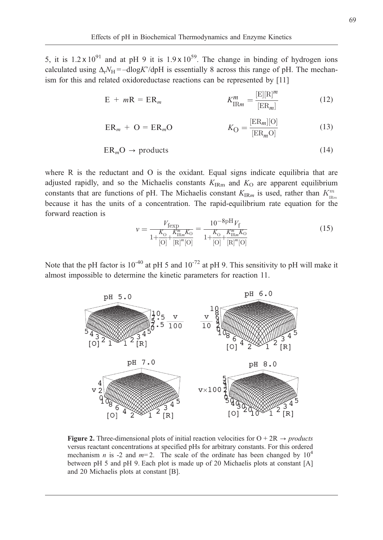5, it is  $1.2 \times 10^{91}$  and at pH 9 it is  $1.9 \times 10^{59}$ . The change in binding of hydrogen ions calculated using  $\Delta_r N_H = -d \log K' / d \rho H$  is essentially 8 across this range of pH. The mechanism for this and related oxidoreductase reactions can be represented by [11]

$$
E + mR = ER_m \qquad K_{\text{IR}m}^m = \frac{[E][R]^m}{[ER_m]}
$$
 (12)

$$
ER_m + O = ER_mO \qquad K_O = \frac{[ER_m][O]}{[ER_m O]}
$$
(13)

$$
ERmO \to products
$$
 (14)

where R is the reductant and O is the oxidant. Equal signs indicate equilibria that are adjusted rapidly, and so the Michaelis constants  $K_{\text{IRm}}$  and  $K_{\text{O}}$  are apparent equilibrium constants that are functions of pH. The Michaelis constant  $K_{\text{IR}m}$  is used, rather than  $K_{\text{IR}m}^m$ because it has the units of a concentration. The rapid-equilibrium rate equation for the forward reaction is

$$
v = \frac{V_{\text{fexp}}}{1 + \frac{K_0}{[O]} + \frac{K_{\text{IRm}}^m K_0}{[R]^m [O]}} = \frac{10^{-8} \text{pH} V_{\text{f}}}{1 + \frac{K_0}{[O]} + \frac{K_{\text{IRm}}^m K_0}{[R]^m [O]}}
$$
(15)

Note that the pH factor is  $10^{-40}$  at pH 5 and  $10^{-72}$  at pH 9. This sensitivity to pH will make it almost impossible to determine the kinetic parameters for reaction 11.



Figure 2. Three-dimensional plots of initial reaction velocities for  $O + 2R \rightarrow products$ versus reactant concentrations at specified pHs for arbitrary constants. For this ordered mechanism *n* is -2 and  $m=2$ . The scale of the ordinate has been changed by  $10^4$ between pH 5 and pH 9. Each plot is made up of 20 Michaelis plots at constant [A] and 20 Michaelis plots at constant [B].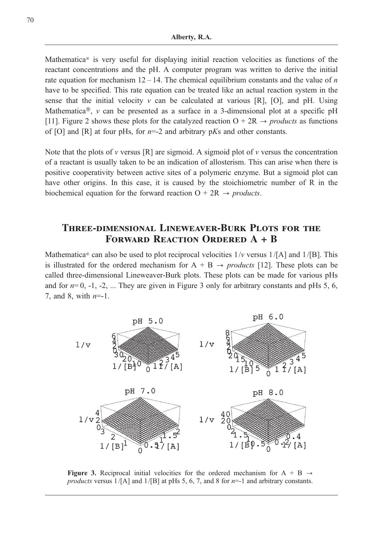Mathematica<sup>®</sup> is very useful for displaying initial reaction velocities as functions of the reactant concentrations and the pH. A computer program was written to derive the initial rate equation for mechanism  $12 - 14$ . The chemical equilibrium constants and the value of *n* have to be specified. This rate equation can be treated like an actual reaction system in the sense that the initial velocity  $\nu$  can be calculated at various [R], [O], and pH. Using Mathematica®,  $v$  can be presented as a surface in a 3-dimensional plot at a specific pH [11]. Figure 2 shows these plots for the catalyzed reaction  $O + 2R \rightarrow products$  as functions of [O] and [R] at four pHs, for  $n=-2$  and arbitrary pKs and other constants.

Note that the plots of v versus  $[R]$  are sigmoid. A sigmoid plot of v versus the concentration of a reactant is usually taken to be an indication of allosterism. This can arise when there is positive cooperativity between active sites of a polymeric enzyme. But a sigmoid plot can have other origins. In this case, it is caused by the stoichiometric number of R in the biochemical equation for the forward reaction  $O + 2R \rightarrow products$ .

## Three-dimensional Lineweaver-Burk Plots for the FORWARD REACTION ORDERED A + B

Mathematica<sup>®</sup> can also be used to plot reciprocal velocities  $1/v$  versus  $1/[A]$  and  $1/[B]$ . This is illustrated for the ordered mechanism for  $A + B \rightarrow products$  [12]. These plots can be called three-dimensional Lineweaver-Burk plots. These plots can be made for various pHs and for  $n=0, -1, -2, \dots$  They are given in Figure 3 only for arbitrary constants and pHs 5, 6, 7, and 8, with  $n=1$ .



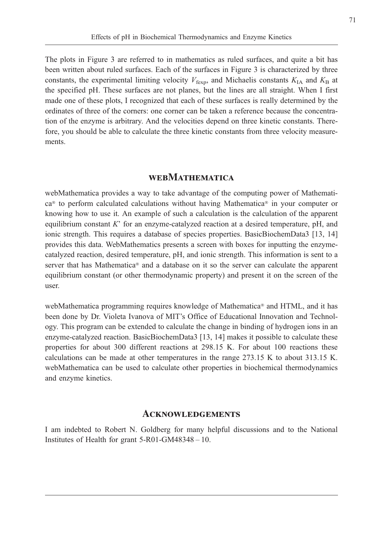The plots in Figure 3 are referred to in mathematics as ruled surfaces, and quite a bit has been written about ruled surfaces. Each of the surfaces in Figure 3 is characterized by three constants, the experimental limiting velocity  $V_{\text{fexp}}$ , and Michaelis constants  $K_{\text{IA}}$  and  $K_{\text{B}}$  at the specified pH. These surfaces are not planes, but the lines are all straight. When I first made one of these plots, I recognized that each of these surfaces is really determined by the ordinates of three of the corners: one corner can be taken a reference because the concentration of the enzyme is arbitrary. And the velocities depend on three kinetic constants. Therefore, you should be able to calculate the three kinetic constants from three velocity measurements.

### **WEBMATHEMATICA**

webMathematica provides a way to take advantage of the computing power of Mathemati $ca<sup>®</sup>$  to perform calculated calculations without having Mathematica<sup>®</sup> in your computer or knowing how to use it. An example of such a calculation is the calculation of the apparent equilibrium constant  $K'$  for an enzyme-catalyzed reaction at a desired temperature, pH, and ionic strength. This requires a database of species properties. BasicBiochemData3 [13, 14] provides this data. WebMathematics presents a screen with boxes for inputting the enzymecatalyzed reaction, desired temperature, pH, and ionic strength. This information is sent to a server that has Mathematica<sup>®</sup> and a database on it so the server can calculate the apparent equilibrium constant (or other thermodynamic property) and present it on the screen of the user.

webMathematica programming requires knowledge of Mathematica<sup>®</sup> and HTML, and it has been done by Dr. Violeta Ivanova of MIT's Office of Educational Innovation and Technology. This program can be extended to calculate the change in binding of hydrogen ions in an enzyme-catalyzed reaction. BasicBiochemData3 [13, 14] makes it possible to calculate these properties for about 300 different reactions at 298.15 K. For about 100 reactions these calculations can be made at other temperatures in the range 273.15 K to about 313.15 K. webMathematica can be used to calculate other properties in biochemical thermodynamics and enzyme kinetics.

#### **ACKNOWLEDGEMENTS**

I am indebted to Robert N. Goldberg for many helpful discussions and to the National Institutes of Health for grant 5-R01-GM48348 – 10.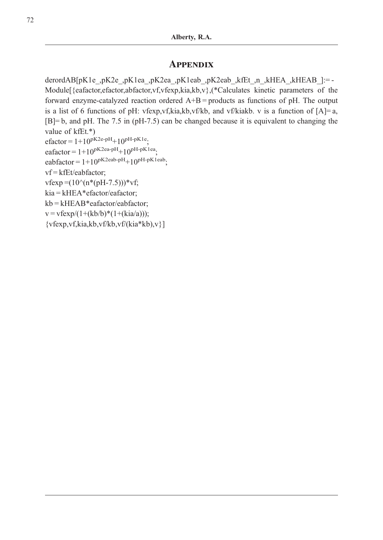### **APPENDIX**

derordAB[pK1e\_,pK2ea\_,pK1ea\_,pK2eab\_,pK2eab\_,kfEt\_,n\_,kHEA\_,kHEAB\_]:= -Module[{eafactor,efactor,abfactor,vf,vfexp,kia,kb,v},(\*Calculates kinetic parameters of the forward enzyme-catalyzed reaction ordered  $A+B =$  products as functions of pH. The output is a list of 6 functions of pH: vfexp,vf,kia,kb,vf/kb, and vf/kiakb. v is a function of  $[A] = a$ , [B]= b, and pH. The 7.5 in (pH-7.5) can be changed because it is equivalent to changing the value of kfEt.\*)

```
efactor = 1+10^{pK2e-pH}+10^{pH-pK1e}
```

```
eafactor = 1+10^{pK2ea-pH}+10^{pH-pK1ea}.
```

```
eabfactor = 1+10^{pK2eab-pH}+10^{pH-pK1eab}
```
vf = kfEt/eabfactor;

 $vfexp = (10^{6}(n*(pH-7.5)))^{6}v$ f;

kia = kHEA\*efactor/eafactor;

kb = kHEAB\*eafactor/eabfactor;

 $v = v f exp/(1+(kb/b)*(1+(kia/a)))$ ;

{vfexp,vf,kia,kb,vf/kb,vf/(kia\*kb),v}]